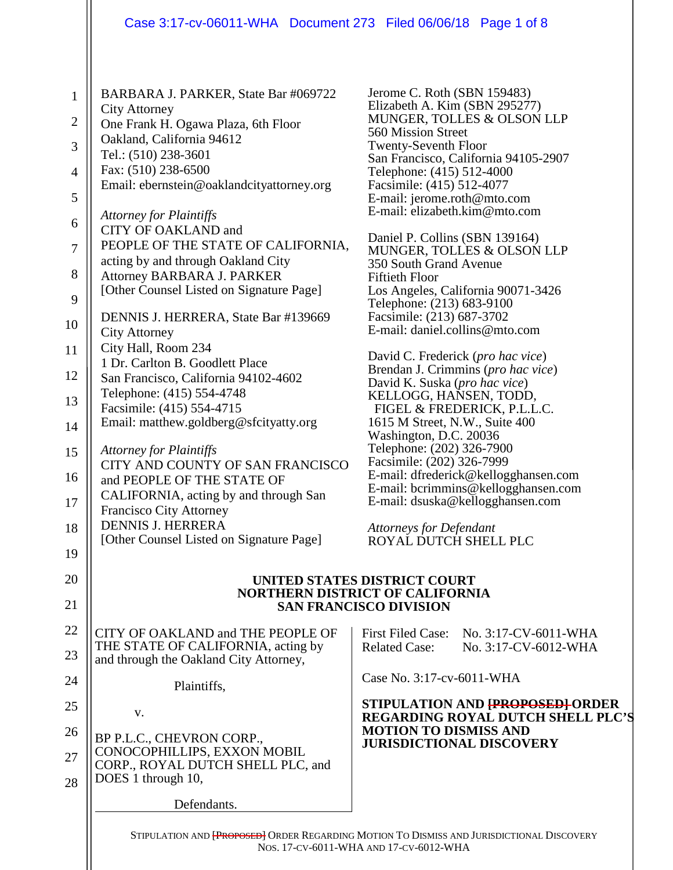|                                               | Case 3:17-cv-06011-WHA Document 273 Filed 06/06/18 Page 1 of 8                                                                                                                                                                                                 |                                                                                                                                                                                                                                                                                                                   |
|-----------------------------------------------|----------------------------------------------------------------------------------------------------------------------------------------------------------------------------------------------------------------------------------------------------------------|-------------------------------------------------------------------------------------------------------------------------------------------------------------------------------------------------------------------------------------------------------------------------------------------------------------------|
| $\mathbf{1}$<br>$\overline{2}$<br>3<br>4<br>5 | BARBARA J. PARKER, State Bar #069722<br><b>City Attorney</b><br>One Frank H. Ogawa Plaza, 6th Floor<br>Oakland, California 94612<br>Tel.: (510) 238-3601<br>Fax: (510) 238-6500<br>Email: ebernstein@oaklandcityattorney.org<br><b>Attorney for Plaintiffs</b> | Jerome C. Roth (SBN 159483)<br>Elizabeth A. Kim (SBN 295277)<br>MUNGER, TOLLES & OLSON LLP<br>560 Mission Street<br><b>Twenty-Seventh Floor</b><br>San Francisco, California 94105-2907<br>Telephone: (415) 512-4000<br>Facsimile: (415) 512-4077<br>E-mail: jerome.roth@mto.com<br>E-mail: elizabeth.kim@mto.com |
| 6                                             | CITY OF OAKLAND and                                                                                                                                                                                                                                            | Daniel P. Collins (SBN 139164)                                                                                                                                                                                                                                                                                    |
| 7                                             | PEOPLE OF THE STATE OF CALIFORNIA,<br>acting by and through Oakland City                                                                                                                                                                                       | MUNGER, TOLLES & OLSON LLP<br>350 South Grand Avenue                                                                                                                                                                                                                                                              |
| 8<br>9                                        | Attorney BARBARA J. PARKER<br>[Other Counsel Listed on Signature Page]                                                                                                                                                                                         | <b>Fiftieth Floor</b><br>Los Angeles, California 90071-3426                                                                                                                                                                                                                                                       |
| 10                                            | DENNIS J. HERRERA, State Bar #139669<br><b>City Attorney</b>                                                                                                                                                                                                   | Telephone: (213) 683-9100<br>Facsimile: (213) 687-3702<br>E-mail: daniel.collins@mto.com                                                                                                                                                                                                                          |
| 11                                            | City Hall, Room 234                                                                                                                                                                                                                                            |                                                                                                                                                                                                                                                                                                                   |
| 12                                            | 1 Dr. Carlton B. Goodlett Place<br>San Francisco, California 94102-4602                                                                                                                                                                                        | David C. Frederick (pro hac vice)<br>Brendan J. Crimmins (pro hac vice)                                                                                                                                                                                                                                           |
| 13                                            | Telephone: (415) 554-4748                                                                                                                                                                                                                                      | David K. Suska (pro hac vice)<br>KELLOGG, HANSEN, TODD,                                                                                                                                                                                                                                                           |
| 14                                            | Facsimile: (415) 554-4715<br>Email: matthew.goldberg@sfcityatty.org                                                                                                                                                                                            | FIGEL & FREDERICK, P.L.L.C.<br>1615 M Street, N.W., Suite 400                                                                                                                                                                                                                                                     |
| 15                                            | <b>Attorney for Plaintiffs</b>                                                                                                                                                                                                                                 | Washington, D.C. 20036<br>Telephone: (202) 326-7900                                                                                                                                                                                                                                                               |
| 16                                            | CITY AND COUNTY OF SAN FRANCISCO<br>and PEOPLE OF THE STATE OF                                                                                                                                                                                                 | Facsimile: (202) 326-7999<br>E-mail: dfrederick@kellogghansen.com                                                                                                                                                                                                                                                 |
| 17                                            | CALIFORNIA, acting by and through San<br><b>Francisco City Attorney</b>                                                                                                                                                                                        | E-mail: bcrimmins@kellogghansen.com<br>E-mail: dsuska@kellogghansen.com                                                                                                                                                                                                                                           |
| 18                                            | <b>DENNIS J. HERRERA</b><br>[Other Counsel Listed on Signature Page]                                                                                                                                                                                           | <b>Attorneys for Defendant</b><br>ROYAL DUTCH SHELL PLC                                                                                                                                                                                                                                                           |
| 19                                            |                                                                                                                                                                                                                                                                |                                                                                                                                                                                                                                                                                                                   |
| 20                                            |                                                                                                                                                                                                                                                                | <b>UNITED STATES DISTRICT COURT</b><br><b>NORTHERN DISTRICT OF CALIFORNIA</b>                                                                                                                                                                                                                                     |
| 21                                            |                                                                                                                                                                                                                                                                | <b>SAN FRANCISCO DIVISION</b>                                                                                                                                                                                                                                                                                     |
| 22                                            | CITY OF OAKLAND and THE PEOPLE OF                                                                                                                                                                                                                              | <b>First Filed Case:</b><br>No. 3:17-CV-6011-WHA                                                                                                                                                                                                                                                                  |
| 23                                            | THE STATE OF CALIFORNIA, acting by<br>and through the Oakland City Attorney,                                                                                                                                                                                   | <b>Related Case:</b><br>No. 3:17-CV-6012-WHA                                                                                                                                                                                                                                                                      |
| 24                                            | Plaintiffs,                                                                                                                                                                                                                                                    | Case No. 3:17-cv-6011-WHA                                                                                                                                                                                                                                                                                         |
| 25                                            | V.                                                                                                                                                                                                                                                             | STIPULATION AND <del>[PROPOSED]</del> ORDER<br><b>REGARDING ROYAL DUTCH SHELL PLC'S</b>                                                                                                                                                                                                                           |
| 26                                            | BP P.L.C., CHEVRON CORP.,                                                                                                                                                                                                                                      | <b>MOTION TO DISMISS AND</b><br><b>JURISDICTIONAL DISCOVERY</b>                                                                                                                                                                                                                                                   |
| 27<br>28                                      | CONOCOPHILLIPS, EXXON MOBIL<br>CORP., ROYAL DUTCH SHELL PLC, and<br>DOES 1 through 10,                                                                                                                                                                         |                                                                                                                                                                                                                                                                                                                   |
|                                               | Defendants.                                                                                                                                                                                                                                                    |                                                                                                                                                                                                                                                                                                                   |
|                                               |                                                                                                                                                                                                                                                                | STIPULATION AND <b>{PROPOSED}</b> ORDER REGARDING MOTION TO DISMISS AND JURISDICTIONAL DISCOVERY<br>NOS. 17-CV-6011-WHA AND 17-CV-6012-WHA                                                                                                                                                                        |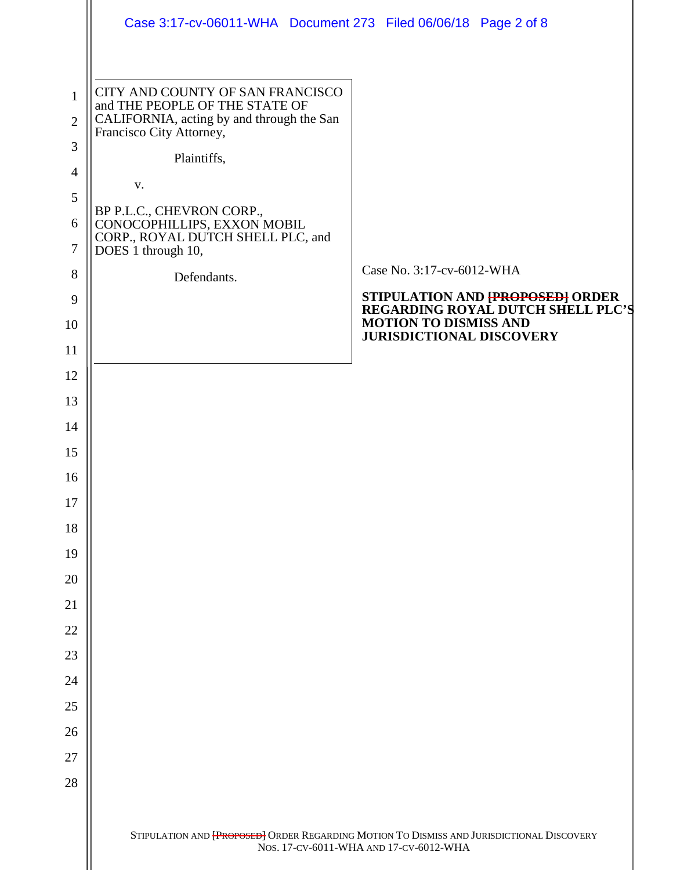|                | Case 3:17-cv-06011-WHA Document 273 Filed 06/06/18 Page 2 of 8                                          |                                                                                           |
|----------------|---------------------------------------------------------------------------------------------------------|-------------------------------------------------------------------------------------------|
| $\mathbf{1}$   | CITY AND COUNTY OF SAN FRANCISCO                                                                        |                                                                                           |
| $\overline{2}$ | and THE PEOPLE OF THE STATE OF<br>CALIFORNIA, acting by and through the San<br>Francisco City Attorney, |                                                                                           |
| 3              | Plaintiffs,                                                                                             |                                                                                           |
| $\overline{4}$ | V.                                                                                                      |                                                                                           |
| 5              | BP P.L.C., CHEVRON CORP.,                                                                               |                                                                                           |
| 6<br>$\tau$    | CONOCOPHILLIPS, EXXON MOBIL<br>CORP., ROYAL DUTCH SHELL PLC, and<br>DOES 1 through 10,                  |                                                                                           |
| 8              | Defendants.                                                                                             | Case No. 3:17-cv-6012-WHA                                                                 |
| 9              |                                                                                                         | STIPULATION AND <b>{PROPOSED}</b> ORDER<br><b>REGARDING ROYAL DUTCH SHELL PLC'S</b>       |
| 10             |                                                                                                         | <b>MOTION TO DISMISS AND</b><br><b>JURISDICTIONAL DISCOVERY</b>                           |
| 11             |                                                                                                         |                                                                                           |
| 12             |                                                                                                         |                                                                                           |
| 13             |                                                                                                         |                                                                                           |
| 14             |                                                                                                         |                                                                                           |
| 15             |                                                                                                         |                                                                                           |
| 16<br>17       |                                                                                                         |                                                                                           |
| 18             |                                                                                                         |                                                                                           |
| 19             |                                                                                                         |                                                                                           |
| 20             |                                                                                                         |                                                                                           |
| 21             |                                                                                                         |                                                                                           |
| 22             |                                                                                                         |                                                                                           |
| 23             |                                                                                                         |                                                                                           |
| 24             |                                                                                                         |                                                                                           |
| 25             |                                                                                                         |                                                                                           |
| 26             |                                                                                                         |                                                                                           |
| 27             |                                                                                                         |                                                                                           |
| 28             |                                                                                                         |                                                                                           |
|                |                                                                                                         | STIPULATION AND [PROPOSED] ORDER REGARDING MOTION TO DISMISS AND JURISDICTIONAL DISCOVERY |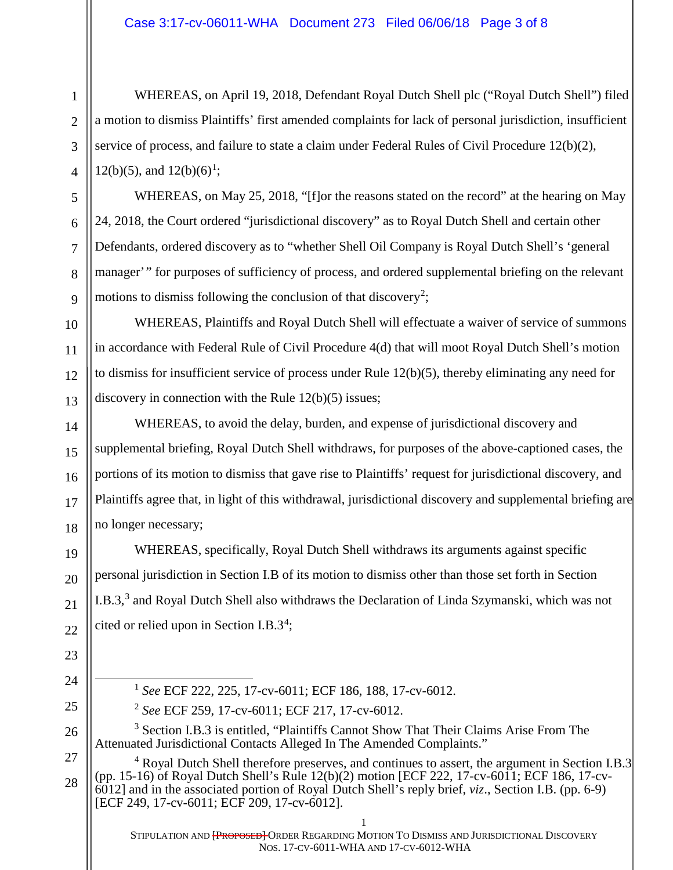WHEREAS, on April 19, 2018, Defendant Royal Dutch Shell plc ("Royal Dutch Shell") filed a motion to dismiss Plaintiffs' first amended complaints for lack of personal jurisdiction, insufficient service of process, and failure to state a claim under Federal Rules of Civil Procedure 12(b)(2), 12(b)(5), and  $12(b)(6)^1$ ;

WHEREAS, on May 25, 2018, "[f]or the reasons stated on the record" at the hearing on May 24, 2018, the Court ordered "jurisdictional discovery" as to Royal Dutch Shell and certain other Defendants, ordered discovery as to "whether Shell Oil Company is Royal Dutch Shell's 'general manager'" for purposes of sufficiency of process, and ordered supplemental briefing on the relevant motions to dismiss following the conclusion of that discovery<sup>2</sup>;

WHEREAS, Plaintiffs and Royal Dutch Shell will effectuate a waiver of service of summons in accordance with Federal Rule of Civil Procedure 4(d) that will moot Royal Dutch Shell's motion to dismiss for insufficient service of process under Rule 12(b)(5), thereby eliminating any need for discovery in connection with the Rule 12(b)(5) issues;

WHEREAS, to avoid the delay, burden, and expense of jurisdictional discovery and supplemental briefing, Royal Dutch Shell withdraws, for purposes of the above-captioned cases, the portions of its motion to dismiss that gave rise to Plaintiffs' request for jurisdictional discovery, and Plaintiffs agree that, in light of this withdrawal, jurisdictional discovery and supplemental briefing are no longer necessary;

WHEREAS, specifically, Royal Dutch Shell withdraws its arguments against specific personal jurisdiction in Section I.B of its motion to dismiss other than those set forth in Section I.B.3,<sup>3</sup> and Royal Dutch Shell also withdraws the Declaration of Linda Szymanski, which was not cited or relied upon in Section I.B.3<sup>4</sup>;

- 1 *See* ECF 222, 225, 17-cv-6011; ECF 186, 188, 17-cv-6012.
- <sup>2</sup> *See* ECF 259, 17-cv-6011; ECF 217, 17-cv-6012.

<sup>3</sup> Section I.B.3 is entitled, "Plaintiffs Cannot Show That Their Claims Arise From The Attenuated Jurisdictional Contacts Alleged In The Amended Complaints."

<sup>4</sup> Royal Dutch Shell therefore preserves, and continues to assert, the argument in Section I.B.3 (pp. 15-16) of Royal Dutch Shell's Rule 12(b)(2) motion [ECF 222, 17-cv-6011; ECF 186, 17-cv-6012] and in the associated portion of Royal Dutch Shell's reply brief, *viz*., Section I.B. (pp. 6-9) [ECF 249, 17-cv-6011; ECF 209, 17-cv-6012].

1

2

3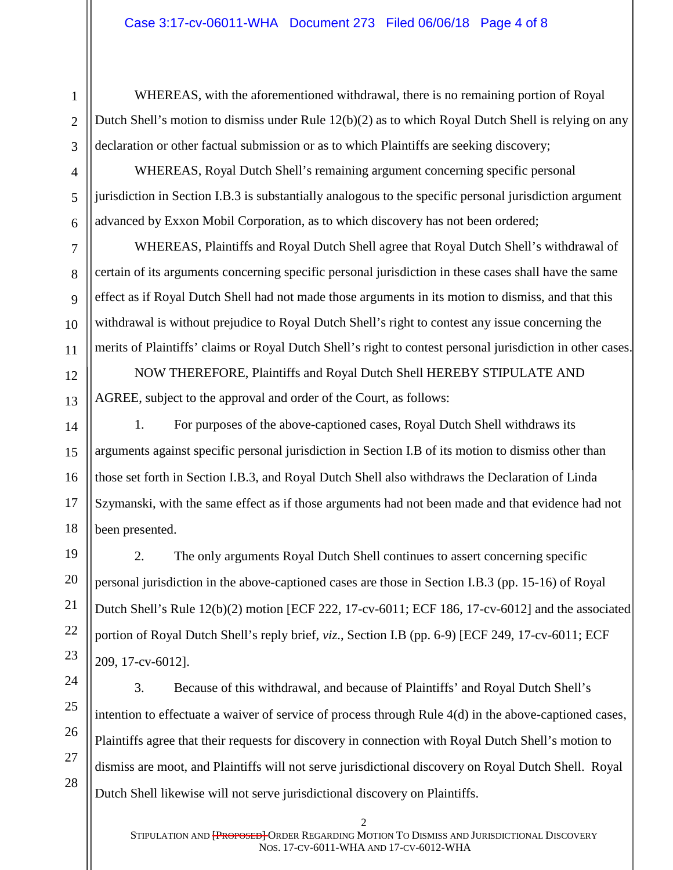WHEREAS, with the aforementioned withdrawal, there is no remaining portion of Royal Dutch Shell's motion to dismiss under Rule 12(b)(2) as to which Royal Dutch Shell is relying on any declaration or other factual submission or as to which Plaintiffs are seeking discovery;

WHEREAS, Royal Dutch Shell's remaining argument concerning specific personal jurisdiction in Section I.B.3 is substantially analogous to the specific personal jurisdiction argument advanced by Exxon Mobil Corporation, as to which discovery has not been ordered;

WHEREAS, Plaintiffs and Royal Dutch Shell agree that Royal Dutch Shell's withdrawal of certain of its arguments concerning specific personal jurisdiction in these cases shall have the same effect as if Royal Dutch Shell had not made those arguments in its motion to dismiss, and that this withdrawal is without prejudice to Royal Dutch Shell's right to contest any issue concerning the merits of Plaintiffs' claims or Royal Dutch Shell's right to contest personal jurisdiction in other cases.

NOW THEREFORE, Plaintiffs and Royal Dutch Shell HEREBY STIPULATE AND AGREE, subject to the approval and order of the Court, as follows:

1. For purposes of the above-captioned cases, Royal Dutch Shell withdraws its arguments against specific personal jurisdiction in Section I.B of its motion to dismiss other than those set forth in Section I.B.3, and Royal Dutch Shell also withdraws the Declaration of Linda Szymanski, with the same effect as if those arguments had not been made and that evidence had not been presented.

2. The only arguments Royal Dutch Shell continues to assert concerning specific personal jurisdiction in the above-captioned cases are those in Section I.B.3 (pp. 15-16) of Royal Dutch Shell's Rule 12(b)(2) motion [ECF 222, 17-cv-6011; ECF 186, 17-cv-6012] and the associated portion of Royal Dutch Shell's reply brief, *viz*., Section I.B (pp. 6-9) [ECF 249, 17-cv-6011; ECF 209, 17-cv-6012].

3. Because of this withdrawal, and because of Plaintiffs' and Royal Dutch Shell's intention to effectuate a waiver of service of process through Rule 4(d) in the above-captioned cases, Plaintiffs agree that their requests for discovery in connection with Royal Dutch Shell's motion to dismiss are moot, and Plaintiffs will not serve jurisdictional discovery on Royal Dutch Shell. Royal Dutch Shell likewise will not serve jurisdictional discovery on Plaintiffs.

1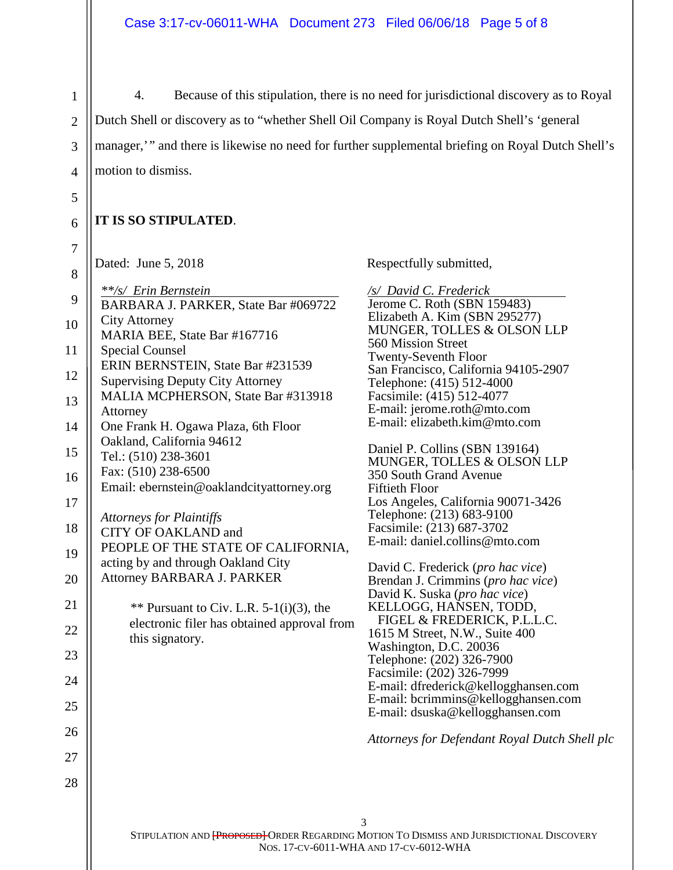4. Because of this stipulation, there is no need for jurisdictional discovery as to Royal Dutch Shell or discovery as to "whether Shell Oil Company is Royal Dutch Shell's 'general manager,'" and there is likewise no need for further supplemental briefing on Royal Dutch Shell's motion to dismiss.

## **IT IS SO STIPULATED**.

| Dated: June 5, 2018 |
|---------------------|
|---------------------|

1

2

3

4

5

6

7

| 8  | Dated. Julie J, $2010$                                                       | <b>TZC2</b> he                          |
|----|------------------------------------------------------------------------------|-----------------------------------------|
| 9  | **/s/ Erin Bernstein<br>BARBARA J. PARKER, State Bar #069722                 | /s/ D<br>Jeron                          |
| 10 | <b>City Attorney</b><br>MARIA BEE, State Bar #167716                         | Eliza<br><b>MUN</b>                     |
| 11 | <b>Special Counsel</b>                                                       | 560 N<br>Twen                           |
| 12 | ERIN BERNSTEIN, State Bar #231539<br><b>Supervising Deputy City Attorney</b> | San F<br>Telep                          |
| 13 | MALIA MCPHERSON, State Bar #313918                                           | Facsi<br>E-ma                           |
| 14 | Attorney<br>One Frank H. Ogawa Plaza, 6th Floor                              | E-ma                                    |
| 15 | Oakland, California 94612<br>Tel.: (510) 238-3601                            | Danie<br><b>MUN</b>                     |
| 16 | Fax: (510) 238-6500<br>Email: ebernstein@oaklandcityattorney.org             | 350 S                                   |
| 17 |                                                                              | Fiftie<br>$\operatorname{Los}$ $\angle$ |
| 18 | <b>Attorneys for Plaintiffs</b><br>CITY OF OAKLAND and                       | Telep<br>Facsi                          |
| 19 | PEOPLE OF THE STATE OF CALIFORNIA,<br>acting by and through Oakland City     | E-ma                                    |
| 20 | Attorney BARBARA J. PARKER                                                   | David<br><b>Brend</b>                   |
| 21 | ** Pursuant to Civ. L.R. $5-1(i)(3)$ , the                                   | Davio<br><b>KELI</b>                    |
| 22 | electronic filer has obtained approval from<br>this signatory.               | <b>FIC</b><br>1615                      |
| 23 |                                                                              | Wash<br>Telep                           |
| 24 |                                                                              | Facsi<br>E-ma                           |
| 25 |                                                                              | E-ma<br>E-ma                            |
| 26 |                                                                              | <b>Attor</b>                            |
| 27 |                                                                              |                                         |
| 28 |                                                                              |                                         |
|    |                                                                              | 3                                       |
|    |                                                                              |                                         |

Respectfully submitted,

*/avid C. Frederick*<br>ne C. Roth (SBN 159483) beth A. Kim (SBN 295277) NGER, TOLLES & OLSON LLP **Mission Street** nty-Seventh Floor Francisco, California 94105-2907 ohone: (415) 512-4000 mile: (415) 512-4077 E-mail: jerome.roth@mto.com E-mail: elizabeth.kim@mto.com

el P. Collins (SBN 139164) NGER, TOLLES & OLSON LLP South Grand Avenue eth Floor Angeles, California 90071-3426 ohone: (213) 683-9100 mile: (213) 687-3702 E-mail: daniel.collins@mto.com

d C. Frederick (*pro hac vice*) Brendan J. Crimmins (*pro hac vice*) d K. Suska (*pro hac vice*) LOGG, HAÑSEN, TODD, **FIGURE & FREDERICK, P.L.L.C.** M Street, N.W., Suite 400 nington, D.C. 20036 ohone: (202) 326-7900 mile: (202) 326-7999 il: dfrederick@kellogghansen.com il: bcrimmins@kellogghansen.com il: dsuska@kellogghansen.com

*Attorneys for Defendant Royal Dutch Shell plc*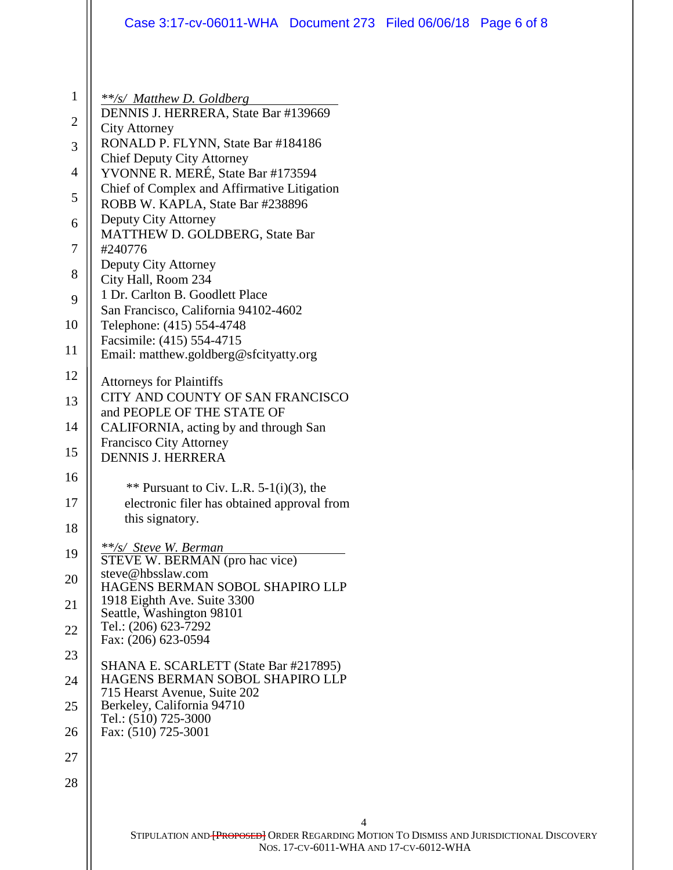| 1<br>**/s/ Matthew D. Goldberg<br>DENNIS J. HERRERA, State Bar #139669<br>2<br><b>City Attorney</b><br>RONALD P. FLYNN, State Bar #184186<br>3<br><b>Chief Deputy City Attorney</b><br>YVONNE R. MERÉ, State Bar #173594<br>$\overline{4}$<br>Chief of Complex and Affirmative Litigation<br>5<br>ROBB W. KAPLA, State Bar #238896<br>Deputy City Attorney<br>6<br>MATTHEW D. GOLDBERG, State Bar<br>7<br>#240776<br>Deputy City Attorney<br>8<br>City Hall, Room 234<br>1 Dr. Carlton B. Goodlett Place<br>9<br>San Francisco, California 94102-4602<br>Telephone: (415) 554-4748<br>10<br>Facsimile: (415) 554-4715<br>11<br>Email: matthew.goldberg@sfcityatty.org<br>12<br><b>Attorneys for Plaintiffs</b><br>CITY AND COUNTY OF SAN FRANCISCO<br>13<br>and PEOPLE OF THE STATE OF<br>14<br>CALIFORNIA, acting by and through San<br><b>Francisco City Attorney</b><br>15<br><b>DENNIS J. HERRERA</b><br>16<br>** Pursuant to Civ. L.R. $5-1(i)(3)$ , the<br>electronic filer has obtained approval from<br>17<br>this signatory.<br>18<br>**/s/ Steve W. Berman<br>19<br>STEVE W. BERMAN (pro hac vice)<br>steve@hbsslaw.com<br>20<br>HAGENS BERMAN SOBOL SHAPIRO LLP<br>1918 Eighth Ave. Suite 3300<br>21<br>Seattle, Washington 98101<br>Tel.: (206) 623-7292<br>22<br>Fax: (206) 623-0594<br>23<br>SHANA E. SCARLETT (State Bar #217895)<br>HAGENS BERMAN SOBOL SHAPIRO LLP<br>24<br>715 Hearst Avenue, Suite 202<br>Berkeley, California 94710<br>25<br>Tel.: (510) 725-3000<br>Fax: (510) 725-3001<br>26<br>27<br>28<br>4<br>NOS. 17-CV-6011-WHA AND 17-CV-6012-WHA | Case 3:17-cv-06011-WHA Document 273 Filed 06/06/18 Page 6 of 8                                   |
|-------------------------------------------------------------------------------------------------------------------------------------------------------------------------------------------------------------------------------------------------------------------------------------------------------------------------------------------------------------------------------------------------------------------------------------------------------------------------------------------------------------------------------------------------------------------------------------------------------------------------------------------------------------------------------------------------------------------------------------------------------------------------------------------------------------------------------------------------------------------------------------------------------------------------------------------------------------------------------------------------------------------------------------------------------------------------------------------------------------------------------------------------------------------------------------------------------------------------------------------------------------------------------------------------------------------------------------------------------------------------------------------------------------------------------------------------------------------------------------------------------------------------------------------------------------------------------|--------------------------------------------------------------------------------------------------|
|                                                                                                                                                                                                                                                                                                                                                                                                                                                                                                                                                                                                                                                                                                                                                                                                                                                                                                                                                                                                                                                                                                                                                                                                                                                                                                                                                                                                                                                                                                                                                                               |                                                                                                  |
|                                                                                                                                                                                                                                                                                                                                                                                                                                                                                                                                                                                                                                                                                                                                                                                                                                                                                                                                                                                                                                                                                                                                                                                                                                                                                                                                                                                                                                                                                                                                                                               |                                                                                                  |
|                                                                                                                                                                                                                                                                                                                                                                                                                                                                                                                                                                                                                                                                                                                                                                                                                                                                                                                                                                                                                                                                                                                                                                                                                                                                                                                                                                                                                                                                                                                                                                               |                                                                                                  |
|                                                                                                                                                                                                                                                                                                                                                                                                                                                                                                                                                                                                                                                                                                                                                                                                                                                                                                                                                                                                                                                                                                                                                                                                                                                                                                                                                                                                                                                                                                                                                                               |                                                                                                  |
|                                                                                                                                                                                                                                                                                                                                                                                                                                                                                                                                                                                                                                                                                                                                                                                                                                                                                                                                                                                                                                                                                                                                                                                                                                                                                                                                                                                                                                                                                                                                                                               |                                                                                                  |
|                                                                                                                                                                                                                                                                                                                                                                                                                                                                                                                                                                                                                                                                                                                                                                                                                                                                                                                                                                                                                                                                                                                                                                                                                                                                                                                                                                                                                                                                                                                                                                               |                                                                                                  |
|                                                                                                                                                                                                                                                                                                                                                                                                                                                                                                                                                                                                                                                                                                                                                                                                                                                                                                                                                                                                                                                                                                                                                                                                                                                                                                                                                                                                                                                                                                                                                                               |                                                                                                  |
|                                                                                                                                                                                                                                                                                                                                                                                                                                                                                                                                                                                                                                                                                                                                                                                                                                                                                                                                                                                                                                                                                                                                                                                                                                                                                                                                                                                                                                                                                                                                                                               |                                                                                                  |
|                                                                                                                                                                                                                                                                                                                                                                                                                                                                                                                                                                                                                                                                                                                                                                                                                                                                                                                                                                                                                                                                                                                                                                                                                                                                                                                                                                                                                                                                                                                                                                               |                                                                                                  |
|                                                                                                                                                                                                                                                                                                                                                                                                                                                                                                                                                                                                                                                                                                                                                                                                                                                                                                                                                                                                                                                                                                                                                                                                                                                                                                                                                                                                                                                                                                                                                                               |                                                                                                  |
|                                                                                                                                                                                                                                                                                                                                                                                                                                                                                                                                                                                                                                                                                                                                                                                                                                                                                                                                                                                                                                                                                                                                                                                                                                                                                                                                                                                                                                                                                                                                                                               |                                                                                                  |
|                                                                                                                                                                                                                                                                                                                                                                                                                                                                                                                                                                                                                                                                                                                                                                                                                                                                                                                                                                                                                                                                                                                                                                                                                                                                                                                                                                                                                                                                                                                                                                               |                                                                                                  |
|                                                                                                                                                                                                                                                                                                                                                                                                                                                                                                                                                                                                                                                                                                                                                                                                                                                                                                                                                                                                                                                                                                                                                                                                                                                                                                                                                                                                                                                                                                                                                                               |                                                                                                  |
|                                                                                                                                                                                                                                                                                                                                                                                                                                                                                                                                                                                                                                                                                                                                                                                                                                                                                                                                                                                                                                                                                                                                                                                                                                                                                                                                                                                                                                                                                                                                                                               |                                                                                                  |
|                                                                                                                                                                                                                                                                                                                                                                                                                                                                                                                                                                                                                                                                                                                                                                                                                                                                                                                                                                                                                                                                                                                                                                                                                                                                                                                                                                                                                                                                                                                                                                               |                                                                                                  |
|                                                                                                                                                                                                                                                                                                                                                                                                                                                                                                                                                                                                                                                                                                                                                                                                                                                                                                                                                                                                                                                                                                                                                                                                                                                                                                                                                                                                                                                                                                                                                                               |                                                                                                  |
|                                                                                                                                                                                                                                                                                                                                                                                                                                                                                                                                                                                                                                                                                                                                                                                                                                                                                                                                                                                                                                                                                                                                                                                                                                                                                                                                                                                                                                                                                                                                                                               |                                                                                                  |
|                                                                                                                                                                                                                                                                                                                                                                                                                                                                                                                                                                                                                                                                                                                                                                                                                                                                                                                                                                                                                                                                                                                                                                                                                                                                                                                                                                                                                                                                                                                                                                               |                                                                                                  |
|                                                                                                                                                                                                                                                                                                                                                                                                                                                                                                                                                                                                                                                                                                                                                                                                                                                                                                                                                                                                                                                                                                                                                                                                                                                                                                                                                                                                                                                                                                                                                                               |                                                                                                  |
|                                                                                                                                                                                                                                                                                                                                                                                                                                                                                                                                                                                                                                                                                                                                                                                                                                                                                                                                                                                                                                                                                                                                                                                                                                                                                                                                                                                                                                                                                                                                                                               |                                                                                                  |
|                                                                                                                                                                                                                                                                                                                                                                                                                                                                                                                                                                                                                                                                                                                                                                                                                                                                                                                                                                                                                                                                                                                                                                                                                                                                                                                                                                                                                                                                                                                                                                               |                                                                                                  |
|                                                                                                                                                                                                                                                                                                                                                                                                                                                                                                                                                                                                                                                                                                                                                                                                                                                                                                                                                                                                                                                                                                                                                                                                                                                                                                                                                                                                                                                                                                                                                                               |                                                                                                  |
|                                                                                                                                                                                                                                                                                                                                                                                                                                                                                                                                                                                                                                                                                                                                                                                                                                                                                                                                                                                                                                                                                                                                                                                                                                                                                                                                                                                                                                                                                                                                                                               |                                                                                                  |
|                                                                                                                                                                                                                                                                                                                                                                                                                                                                                                                                                                                                                                                                                                                                                                                                                                                                                                                                                                                                                                                                                                                                                                                                                                                                                                                                                                                                                                                                                                                                                                               |                                                                                                  |
|                                                                                                                                                                                                                                                                                                                                                                                                                                                                                                                                                                                                                                                                                                                                                                                                                                                                                                                                                                                                                                                                                                                                                                                                                                                                                                                                                                                                                                                                                                                                                                               |                                                                                                  |
|                                                                                                                                                                                                                                                                                                                                                                                                                                                                                                                                                                                                                                                                                                                                                                                                                                                                                                                                                                                                                                                                                                                                                                                                                                                                                                                                                                                                                                                                                                                                                                               |                                                                                                  |
|                                                                                                                                                                                                                                                                                                                                                                                                                                                                                                                                                                                                                                                                                                                                                                                                                                                                                                                                                                                                                                                                                                                                                                                                                                                                                                                                                                                                                                                                                                                                                                               |                                                                                                  |
|                                                                                                                                                                                                                                                                                                                                                                                                                                                                                                                                                                                                                                                                                                                                                                                                                                                                                                                                                                                                                                                                                                                                                                                                                                                                                                                                                                                                                                                                                                                                                                               |                                                                                                  |
|                                                                                                                                                                                                                                                                                                                                                                                                                                                                                                                                                                                                                                                                                                                                                                                                                                                                                                                                                                                                                                                                                                                                                                                                                                                                                                                                                                                                                                                                                                                                                                               |                                                                                                  |
|                                                                                                                                                                                                                                                                                                                                                                                                                                                                                                                                                                                                                                                                                                                                                                                                                                                                                                                                                                                                                                                                                                                                                                                                                                                                                                                                                                                                                                                                                                                                                                               |                                                                                                  |
|                                                                                                                                                                                                                                                                                                                                                                                                                                                                                                                                                                                                                                                                                                                                                                                                                                                                                                                                                                                                                                                                                                                                                                                                                                                                                                                                                                                                                                                                                                                                                                               |                                                                                                  |
|                                                                                                                                                                                                                                                                                                                                                                                                                                                                                                                                                                                                                                                                                                                                                                                                                                                                                                                                                                                                                                                                                                                                                                                                                                                                                                                                                                                                                                                                                                                                                                               |                                                                                                  |
|                                                                                                                                                                                                                                                                                                                                                                                                                                                                                                                                                                                                                                                                                                                                                                                                                                                                                                                                                                                                                                                                                                                                                                                                                                                                                                                                                                                                                                                                                                                                                                               |                                                                                                  |
|                                                                                                                                                                                                                                                                                                                                                                                                                                                                                                                                                                                                                                                                                                                                                                                                                                                                                                                                                                                                                                                                                                                                                                                                                                                                                                                                                                                                                                                                                                                                                                               |                                                                                                  |
|                                                                                                                                                                                                                                                                                                                                                                                                                                                                                                                                                                                                                                                                                                                                                                                                                                                                                                                                                                                                                                                                                                                                                                                                                                                                                                                                                                                                                                                                                                                                                                               |                                                                                                  |
|                                                                                                                                                                                                                                                                                                                                                                                                                                                                                                                                                                                                                                                                                                                                                                                                                                                                                                                                                                                                                                                                                                                                                                                                                                                                                                                                                                                                                                                                                                                                                                               | STIPULATION AND <b>{PROPOSED}</b> ORDER REGARDING MOTION TO DISMISS AND JURISDICTIONAL DISCOVERY |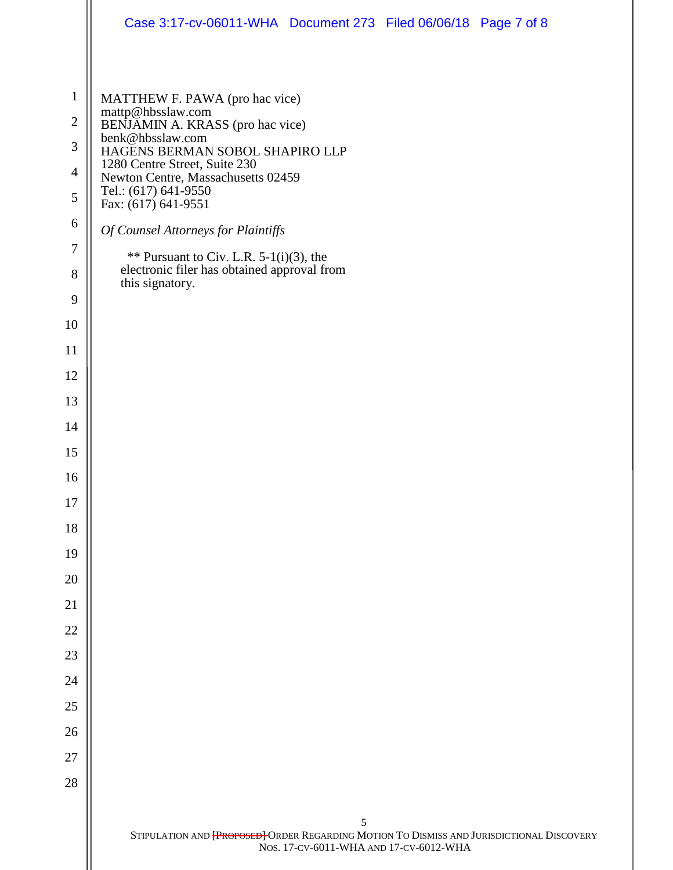|                  | Case 3:17-cv-06011-WHA Document 273 Filed 06/06/18 Page 7 of 8                                                                      |
|------------------|-------------------------------------------------------------------------------------------------------------------------------------|
|                  |                                                                                                                                     |
| $\mathbf{1}$     | MATTHEW F. PAWA (pro hac vice)                                                                                                      |
| $\overline{2}$   | mattp@hbsslaw.com<br>BENJAMIN A. KRASS (pro hac vice)                                                                               |
| 3                | benk@hbsslaw.com<br>HAGENS BERMAN SOBOL SHAPIRO LLP                                                                                 |
| $\overline{4}$   | 1280 Centre Street, Suite 230<br>Newton Centre, Massachusetts 02459                                                                 |
| 5                | Tel.: (617) 641-9550<br>Fax: (617) 641-9551                                                                                         |
| 6                | Of Counsel Attorneys for Plaintiffs                                                                                                 |
| $\boldsymbol{7}$ | ** Pursuant to Civ. L.R. $5-1(i)(3)$ , the                                                                                          |
| 8<br>9           | electronic filer has obtained approval from<br>this signatory.                                                                      |
| 10               |                                                                                                                                     |
| 11               |                                                                                                                                     |
| 12               |                                                                                                                                     |
| 13               |                                                                                                                                     |
| 14               |                                                                                                                                     |
| 15               |                                                                                                                                     |
| 16               |                                                                                                                                     |
| 17               |                                                                                                                                     |
| 18               |                                                                                                                                     |
| 19               |                                                                                                                                     |
| 20               |                                                                                                                                     |
| 21               |                                                                                                                                     |
| 22               |                                                                                                                                     |
| 23               |                                                                                                                                     |
| 24               |                                                                                                                                     |
| 25               |                                                                                                                                     |
| 26               |                                                                                                                                     |
| 27               |                                                                                                                                     |
| 28               |                                                                                                                                     |
|                  | 5                                                                                                                                   |
|                  | STIPULATION AND [PROPOSED] ORDER REGARDING MOTION TO DISMISS AND JURISDICTIONAL DISCOVERY<br>NOS. 17-CV-6011-WHA AND 17-CV-6012-WHA |